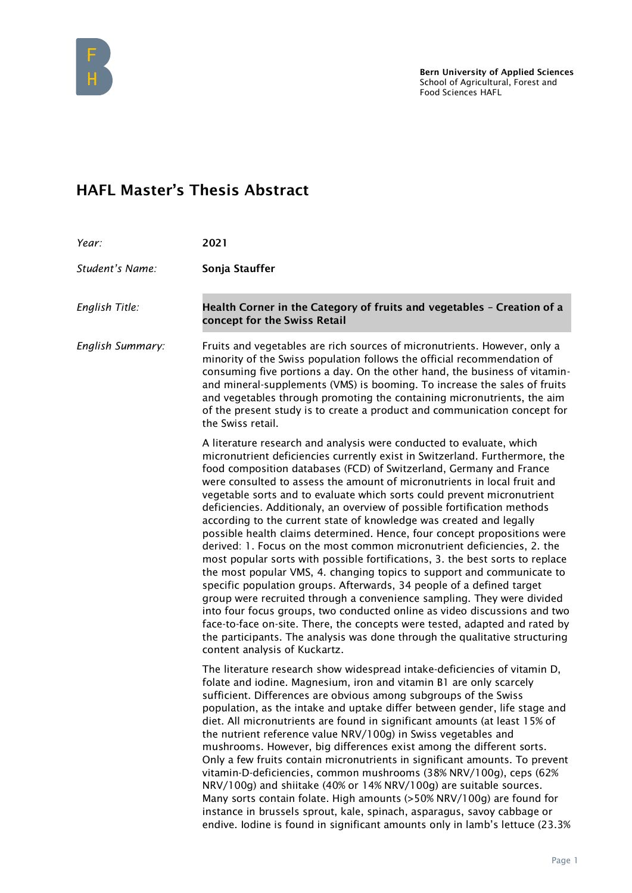

## HAFL Master's Thesis Abstract

| Year:            | 2021                                                                                                                                                                                                                                                                                                                                                                                                                                                                                                                                                                                                                                                                                                                                                                                                                                                                                                                                                                                                                                                                                                                                                                                                                                                                                  |
|------------------|---------------------------------------------------------------------------------------------------------------------------------------------------------------------------------------------------------------------------------------------------------------------------------------------------------------------------------------------------------------------------------------------------------------------------------------------------------------------------------------------------------------------------------------------------------------------------------------------------------------------------------------------------------------------------------------------------------------------------------------------------------------------------------------------------------------------------------------------------------------------------------------------------------------------------------------------------------------------------------------------------------------------------------------------------------------------------------------------------------------------------------------------------------------------------------------------------------------------------------------------------------------------------------------|
| Student's Name:  | Sonja Stauffer                                                                                                                                                                                                                                                                                                                                                                                                                                                                                                                                                                                                                                                                                                                                                                                                                                                                                                                                                                                                                                                                                                                                                                                                                                                                        |
| English Title:   | Health Corner in the Category of fruits and vegetables - Creation of a<br>concept for the Swiss Retail                                                                                                                                                                                                                                                                                                                                                                                                                                                                                                                                                                                                                                                                                                                                                                                                                                                                                                                                                                                                                                                                                                                                                                                |
| English Summary: | Fruits and vegetables are rich sources of micronutrients. However, only a<br>minority of the Swiss population follows the official recommendation of<br>consuming five portions a day. On the other hand, the business of vitamin-<br>and mineral-supplements (VMS) is booming. To increase the sales of fruits<br>and vegetables through promoting the containing micronutrients, the aim<br>of the present study is to create a product and communication concept for<br>the Swiss retail.                                                                                                                                                                                                                                                                                                                                                                                                                                                                                                                                                                                                                                                                                                                                                                                          |
|                  | A literature research and analysis were conducted to evaluate, which<br>micronutrient deficiencies currently exist in Switzerland. Furthermore, the<br>food composition databases (FCD) of Switzerland, Germany and France<br>were consulted to assess the amount of micronutrients in local fruit and<br>vegetable sorts and to evaluate which sorts could prevent micronutrient<br>deficiencies. Additionaly, an overview of possible fortification methods<br>according to the current state of knowledge was created and legally<br>possible health claims determined. Hence, four concept propositions were<br>derived: 1. Focus on the most common micronutrient deficiencies, 2. the<br>most popular sorts with possible fortifications, 3. the best sorts to replace<br>the most popular VMS, 4. changing topics to support and communicate to<br>specific population groups. Afterwards, 34 people of a defined target<br>group were recruited through a convenience sampling. They were divided<br>into four focus groups, two conducted online as video discussions and two<br>face-to-face on-site. There, the concepts were tested, adapted and rated by<br>the participants. The analysis was done through the qualitative structuring<br>content analysis of Kuckartz. |
|                  | The literature research show widespread intake-deficiencies of vitamin D,<br>folate and iodine. Magnesium, iron and vitamin B1 are only scarcely<br>sufficient. Differences are obvious among subgroups of the Swiss<br>population, as the intake and uptake differ between gender, life stage and<br>diet. All micronutrients are found in significant amounts (at least 15% of<br>the nutrient reference value NRV/100g) in Swiss vegetables and<br>mushrooms. However, big differences exist among the different sorts.<br>Only a few fruits contain micronutrients in significant amounts. To prevent<br>vitamin-D-deficiencies, common mushrooms (38% NRV/100g), ceps (62%<br>NRV/100g) and shiitake (40% or 14% NRV/100g) are suitable sources.<br>Many sorts contain folate. High amounts (>50% NRV/100g) are found for<br>instance in brussels sprout, kale, spinach, asparagus, savoy cabbage or<br>endive. Iodine is found in significant amounts only in lamb's lettuce (23.3%                                                                                                                                                                                                                                                                                             |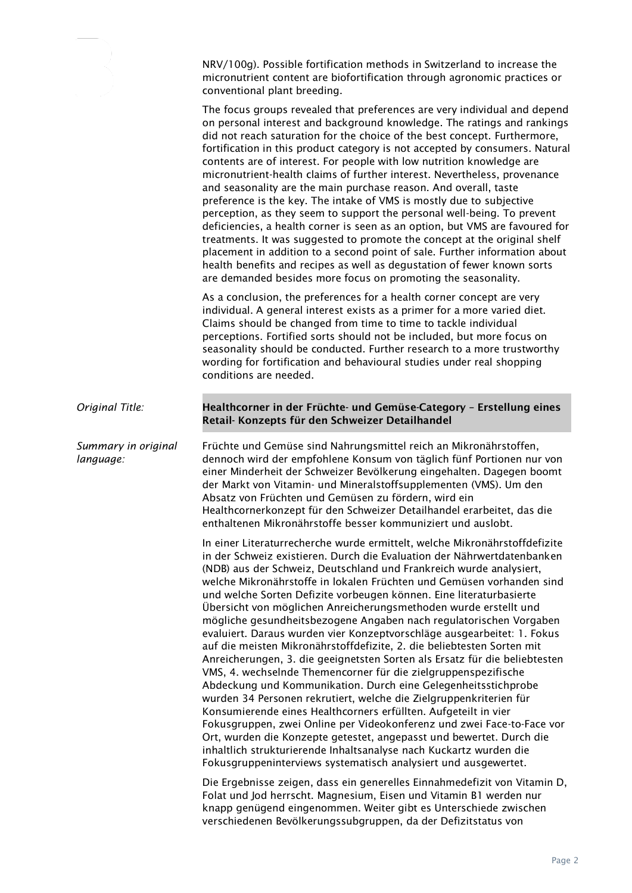|                                  | NRV/100g). Possible fortification methods in Switzerland to increase the<br>micronutrient content are biofortification through agronomic practices or<br>conventional plant breeding.                                                                                                                                                                                                                                                                                                                                                                                                                                                                                                                                                                                                                                                                                                                                                                                                                                                                                                                                                                                                                                                                                                                                                                                                                          |
|----------------------------------|----------------------------------------------------------------------------------------------------------------------------------------------------------------------------------------------------------------------------------------------------------------------------------------------------------------------------------------------------------------------------------------------------------------------------------------------------------------------------------------------------------------------------------------------------------------------------------------------------------------------------------------------------------------------------------------------------------------------------------------------------------------------------------------------------------------------------------------------------------------------------------------------------------------------------------------------------------------------------------------------------------------------------------------------------------------------------------------------------------------------------------------------------------------------------------------------------------------------------------------------------------------------------------------------------------------------------------------------------------------------------------------------------------------|
|                                  | The focus groups revealed that preferences are very individual and depend<br>on personal interest and background knowledge. The ratings and rankings<br>did not reach saturation for the choice of the best concept. Furthermore,<br>fortification in this product category is not accepted by consumers. Natural<br>contents are of interest. For people with low nutrition knowledge are<br>micronutrient-health claims of further interest. Nevertheless, provenance<br>and seasonality are the main purchase reason. And overall, taste<br>preference is the key. The intake of VMS is mostly due to subjective<br>perception, as they seem to support the personal well-being. To prevent<br>deficiencies, a health corner is seen as an option, but VMS are favoured for<br>treatments. It was suggested to promote the concept at the original shelf<br>placement in addition to a second point of sale. Further information about<br>health benefits and recipes as well as degustation of fewer known sorts<br>are demanded besides more focus on promoting the seasonality.                                                                                                                                                                                                                                                                                                                          |
|                                  | As a conclusion, the preferences for a health corner concept are very<br>individual. A general interest exists as a primer for a more varied diet.<br>Claims should be changed from time to time to tackle individual<br>perceptions. Fortified sorts should not be included, but more focus on<br>seasonality should be conducted. Further research to a more trustworthy<br>wording for fortification and behavioural studies under real shopping<br>conditions are needed.                                                                                                                                                                                                                                                                                                                                                                                                                                                                                                                                                                                                                                                                                                                                                                                                                                                                                                                                  |
| Original Title:                  | Healthcorner in der Früchte- und Gemüse-Category - Erstellung eines<br>Retail- Konzepts für den Schweizer Detailhandel                                                                                                                                                                                                                                                                                                                                                                                                                                                                                                                                                                                                                                                                                                                                                                                                                                                                                                                                                                                                                                                                                                                                                                                                                                                                                         |
| Summary in original<br>language: | Früchte und Gemüse sind Nahrungsmittel reich an Mikronährstoffen,<br>dennoch wird der empfohlene Konsum von täglich fünf Portionen nur von<br>einer Minderheit der Schweizer Bevölkerung eingehalten. Dagegen boomt<br>der Markt von Vitamin- und Mineralstoffsupplementen (VMS). Um den<br>Absatz von Früchten und Gemüsen zu fördern, wird ein<br>Healthcornerkonzept für den Schweizer Detailhandel erarbeitet, das die<br>enthaltenen Mikronährstoffe besser kommuniziert und auslobt.                                                                                                                                                                                                                                                                                                                                                                                                                                                                                                                                                                                                                                                                                                                                                                                                                                                                                                                     |
|                                  | In einer Literaturrecherche wurde ermittelt, welche Mikronährstoffdefizite<br>in der Schweiz existieren. Durch die Evaluation der Nährwertdatenbanken<br>(NDB) aus der Schweiz, Deutschland und Frankreich wurde analysiert,<br>welche Mikronährstoffe in lokalen Früchten und Gemüsen vorhanden sind<br>und welche Sorten Defizite vorbeugen können. Eine literaturbasierte<br>Übersicht von möglichen Anreicherungsmethoden wurde erstellt und<br>mögliche gesundheitsbezogene Angaben nach regulatorischen Vorgaben<br>evaluiert. Daraus wurden vier Konzeptvorschläge ausgearbeitet: 1. Fokus<br>auf die meisten Mikronährstoffdefizite, 2. die beliebtesten Sorten mit<br>Anreicherungen, 3. die geeignetsten Sorten als Ersatz für die beliebtesten<br>VMS, 4. wechselnde Themencorner für die zielgruppenspezifische<br>Abdeckung und Kommunikation. Durch eine Gelegenheitsstichprobe<br>wurden 34 Personen rekrutiert, welche die Zielgruppenkriterien für<br>Konsumierende eines Healthcorners erfüllten. Aufgeteilt in vier<br>Fokusgruppen, zwei Online per Videokonferenz und zwei Face-to-Face vor<br>Ort, wurden die Konzepte getestet, angepasst und bewertet. Durch die<br>inhaltlich strukturierende Inhaltsanalyse nach Kuckartz wurden die<br>Fokusgruppeninterviews systematisch analysiert und ausgewertet.<br>Die Ergebnisse zeigen, dass ein generelles Einnahmedefizit von Vitamin D, |
|                                  | Folat und Jod herrscht. Magnesium, Eisen und Vitamin B1 werden nur<br>knapp genügend eingenommen. Weiter gibt es Unterschiede zwischen<br>verschiedenen Bevölkerungssubgruppen, da der Defizitstatus von                                                                                                                                                                                                                                                                                                                                                                                                                                                                                                                                                                                                                                                                                                                                                                                                                                                                                                                                                                                                                                                                                                                                                                                                       |